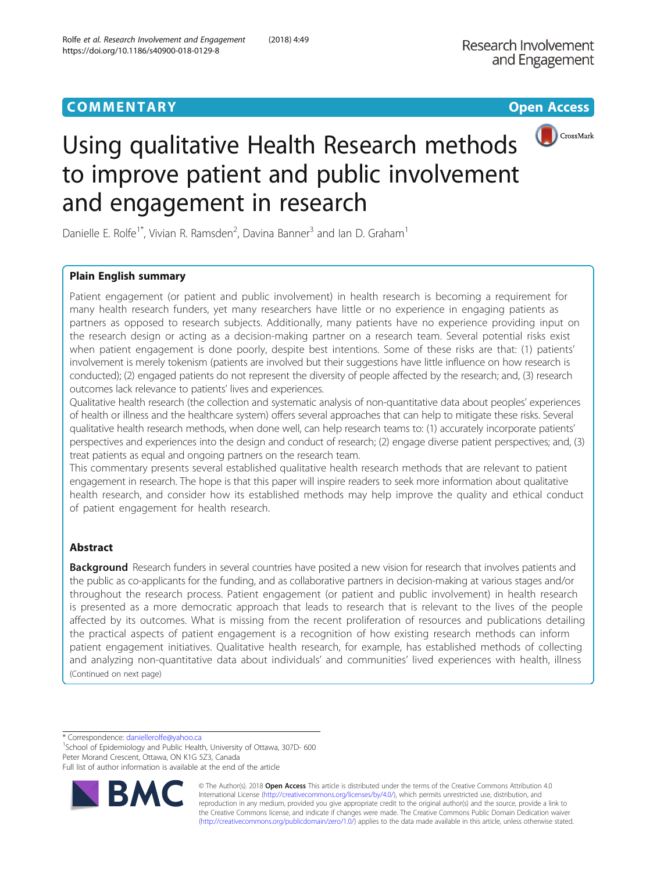

# Using qualitative Health Research methods to improve patient and public involvement and engagement in research

Danielle E. Rolfe<sup>1\*</sup>, Vivian R. Ramsden<sup>2</sup>, Davina Banner<sup>3</sup> and Ian D. Graham<sup>1</sup>

## Plain English summary

Patient engagement (or patient and public involvement) in health research is becoming a requirement for many health research funders, yet many researchers have little or no experience in engaging patients as partners as opposed to research subjects. Additionally, many patients have no experience providing input on the research design or acting as a decision-making partner on a research team. Several potential risks exist when patient engagement is done poorly, despite best intentions. Some of these risks are that: (1) patients' involvement is merely tokenism (patients are involved but their suggestions have little influence on how research is conducted); (2) engaged patients do not represent the diversity of people affected by the research; and, (3) research outcomes lack relevance to patients' lives and experiences.

Qualitative health research (the collection and systematic analysis of non-quantitative data about peoples' experiences of health or illness and the healthcare system) offers several approaches that can help to mitigate these risks. Several qualitative health research methods, when done well, can help research teams to: (1) accurately incorporate patients' perspectives and experiences into the design and conduct of research; (2) engage diverse patient perspectives; and, (3) treat patients as equal and ongoing partners on the research team.

This commentary presents several established qualitative health research methods that are relevant to patient engagement in research. The hope is that this paper will inspire readers to seek more information about qualitative health research, and consider how its established methods may help improve the quality and ethical conduct of patient engagement for health research.

# Abstract

Background Research funders in several countries have posited a new vision for research that involves patients and the public as co-applicants for the funding, and as collaborative partners in decision-making at various stages and/or throughout the research process. Patient engagement (or patient and public involvement) in health research is presented as a more democratic approach that leads to research that is relevant to the lives of the people affected by its outcomes. What is missing from the recent proliferation of resources and publications detailing the practical aspects of patient engagement is a recognition of how existing research methods can inform patient engagement initiatives. Qualitative health research, for example, has established methods of collecting and analyzing non-quantitative data about individuals' and communities' lived experiences with health, illness (Continued on next page)

\* Correspondence: [daniellerolfe@yahoo.ca](mailto:daniellerolfe@yahoo.ca) <sup>1</sup>

<sup>1</sup>School of Epidemiology and Public Health, University of Ottawa, 307D- 600 Peter Morand Crescent, Ottawa, ON K1G 5Z3, Canada

Full list of author information is available at the end of the article



© The Author(s). 2018 Open Access This article is distributed under the terms of the Creative Commons Attribution 4.0 International License [\(http://creativecommons.org/licenses/by/4.0/](http://creativecommons.org/licenses/by/4.0/)), which permits unrestricted use, distribution, and reproduction in any medium, provided you give appropriate credit to the original author(s) and the source, provide a link to the Creative Commons license, and indicate if changes were made. The Creative Commons Public Domain Dedication waiver [\(http://creativecommons.org/publicdomain/zero/1.0/](http://creativecommons.org/publicdomain/zero/1.0/)) applies to the data made available in this article, unless otherwise stated.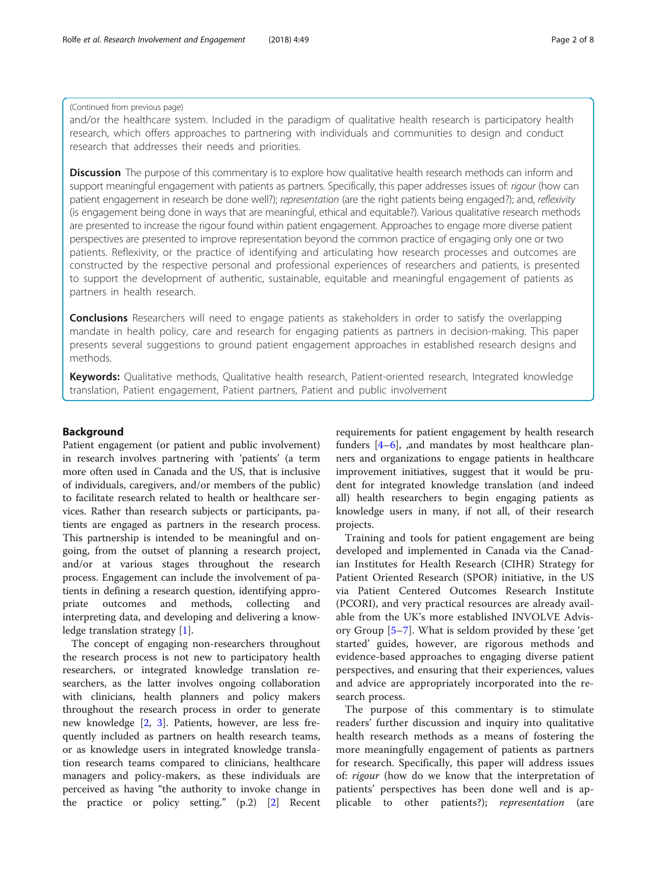## (Continued from previous page)

and/or the healthcare system. Included in the paradigm of qualitative health research is participatory health research, which offers approaches to partnering with individuals and communities to design and conduct research that addresses their needs and priorities.

**Discussion** The purpose of this commentary is to explore how qualitative health research methods can inform and support meaningful engagement with patients as partners. Specifically, this paper addresses issues of: rigour (how can patient engagement in research be done well?); representation (are the right patients being engaged?); and, reflexivity (is engagement being done in ways that are meaningful, ethical and equitable?). Various qualitative research methods are presented to increase the rigour found within patient engagement. Approaches to engage more diverse patient perspectives are presented to improve representation beyond the common practice of engaging only one or two patients. Reflexivity, or the practice of identifying and articulating how research processes and outcomes are constructed by the respective personal and professional experiences of researchers and patients, is presented to support the development of authentic, sustainable, equitable and meaningful engagement of patients as partners in health research.

**Conclusions** Researchers will need to engage patients as stakeholders in order to satisfy the overlapping mandate in health policy, care and research for engaging patients as partners in decision-making. This paper presents several suggestions to ground patient engagement approaches in established research designs and methods.

Keywords: Qualitative methods, Qualitative health research, Patient-oriented research, Integrated knowledge translation, Patient engagement, Patient partners, Patient and public involvement

## Background

Patient engagement (or patient and public involvement) in research involves partnering with 'patients' (a term more often used in Canada and the US, that is inclusive of individuals, caregivers, and/or members of the public) to facilitate research related to health or healthcare services. Rather than research subjects or participants, patients are engaged as partners in the research process. This partnership is intended to be meaningful and ongoing, from the outset of planning a research project, and/or at various stages throughout the research process. Engagement can include the involvement of patients in defining a research question, identifying appropriate outcomes and methods, collecting and interpreting data, and developing and delivering a knowledge translation strategy [\[1](#page-6-0)].

The concept of engaging non-researchers throughout the research process is not new to participatory health researchers, or integrated knowledge translation researchers, as the latter involves ongoing collaboration with clinicians, health planners and policy makers throughout the research process in order to generate new knowledge [\[2](#page-6-0), [3](#page-6-0)]. Patients, however, are less frequently included as partners on health research teams, or as knowledge users in integrated knowledge translation research teams compared to clinicians, healthcare managers and policy-makers, as these individuals are perceived as having "the authority to invoke change in the practice or policy setting." (p.2) [\[2](#page-6-0)] Recent

requirements for patient engagement by health research funders  $[4-6]$  $[4-6]$  $[4-6]$  $[4-6]$ , and mandates by most healthcare planners and organizations to engage patients in healthcare improvement initiatives, suggest that it would be prudent for integrated knowledge translation (and indeed all) health researchers to begin engaging patients as knowledge users in many, if not all, of their research projects.

Training and tools for patient engagement are being developed and implemented in Canada via the Canadian Institutes for Health Research (CIHR) Strategy for Patient Oriented Research (SPOR) initiative, in the US via Patient Centered Outcomes Research Institute (PCORI), and very practical resources are already available from the UK's more established INVOLVE Advisory Group [\[5](#page-6-0)–[7](#page-6-0)]. What is seldom provided by these 'get started' guides, however, are rigorous methods and evidence-based approaches to engaging diverse patient perspectives, and ensuring that their experiences, values and advice are appropriately incorporated into the research process.

The purpose of this commentary is to stimulate readers' further discussion and inquiry into qualitative health research methods as a means of fostering the more meaningfully engagement of patients as partners for research. Specifically, this paper will address issues of: rigour (how do we know that the interpretation of patients' perspectives has been done well and is applicable to other patients?); *representation* (are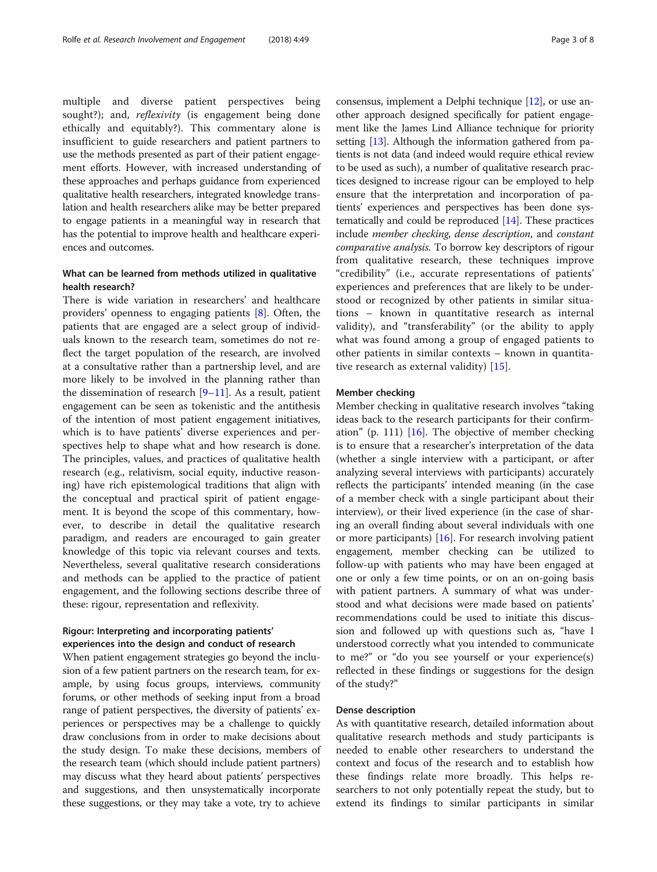multiple and diverse patient perspectives being sought?); and, *reflexivity* (is engagement being done ethically and equitably?). This commentary alone is insufficient to guide researchers and patient partners to use the methods presented as part of their patient engagement efforts. However, with increased understanding of these approaches and perhaps guidance from experienced qualitative health researchers, integrated knowledge translation and health researchers alike may be better prepared to engage patients in a meaningful way in research that has the potential to improve health and healthcare experiences and outcomes.

## What can be learned from methods utilized in qualitative health research?

There is wide variation in researchers' and healthcare providers' openness to engaging patients [[8\]](#page-6-0). Often, the patients that are engaged are a select group of individuals known to the research team, sometimes do not reflect the target population of the research, are involved at a consultative rather than a partnership level, and are more likely to be involved in the planning rather than the dissemination of research [[9](#page-6-0)–[11](#page-6-0)]. As a result, patient engagement can be seen as tokenistic and the antithesis of the intention of most patient engagement initiatives, which is to have patients' diverse experiences and perspectives help to shape what and how research is done. The principles, values, and practices of qualitative health research (e.g., relativism, social equity, inductive reasoning) have rich epistemological traditions that align with the conceptual and practical spirit of patient engagement. It is beyond the scope of this commentary, however, to describe in detail the qualitative research paradigm, and readers are encouraged to gain greater knowledge of this topic via relevant courses and texts. Nevertheless, several qualitative research considerations and methods can be applied to the practice of patient engagement, and the following sections describe three of these: rigour, representation and reflexivity.

## Rigour: Interpreting and incorporating patients' experiences into the design and conduct of research

When patient engagement strategies go beyond the inclusion of a few patient partners on the research team, for example, by using focus groups, interviews, community forums, or other methods of seeking input from a broad range of patient perspectives, the diversity of patients' experiences or perspectives may be a challenge to quickly draw conclusions from in order to make decisions about the study design. To make these decisions, members of the research team (which should include patient partners) may discuss what they heard about patients' perspectives and suggestions, and then unsystematically incorporate these suggestions, or they may take a vote, try to achieve

consensus, implement a Delphi technique [[12](#page-6-0)], or use another approach designed specifically for patient engagement like the James Lind Alliance technique for priority setting [[13\]](#page-6-0). Although the information gathered from patients is not data (and indeed would require ethical review to be used as such), a number of qualitative research practices designed to increase rigour can be employed to help ensure that the interpretation and incorporation of patients' experiences and perspectives has been done systematically and could be reproduced [\[14\]](#page-6-0). These practices include member checking, dense description, and constant comparative analysis. To borrow key descriptors of rigour from qualitative research, these techniques improve "credibility" (i.e., accurate representations of patients' experiences and preferences that are likely to be understood or recognized by other patients in similar situations – known in quantitative research as internal validity), and "transferability" (or the ability to apply what was found among a group of engaged patients to other patients in similar contexts – known in quantitative research as external validity) [[15\]](#page-6-0).

## Member checking

Member checking in qualitative research involves "taking ideas back to the research participants for their confirmation" (p. 111) [[16\]](#page-6-0). The objective of member checking is to ensure that a researcher's interpretation of the data (whether a single interview with a participant, or after analyzing several interviews with participants) accurately reflects the participants' intended meaning (in the case of a member check with a single participant about their interview), or their lived experience (in the case of sharing an overall finding about several individuals with one or more participants)  $[16]$ . For research involving patient engagement, member checking can be utilized to follow-up with patients who may have been engaged at one or only a few time points, or on an on-going basis with patient partners. A summary of what was understood and what decisions were made based on patients' recommendations could be used to initiate this discussion and followed up with questions such as, "have I understood correctly what you intended to communicate to me?" or "do you see yourself or your experience(s) reflected in these findings or suggestions for the design of the study?"

## Dense description

As with quantitative research, detailed information about qualitative research methods and study participants is needed to enable other researchers to understand the context and focus of the research and to establish how these findings relate more broadly. This helps researchers to not only potentially repeat the study, but to extend its findings to similar participants in similar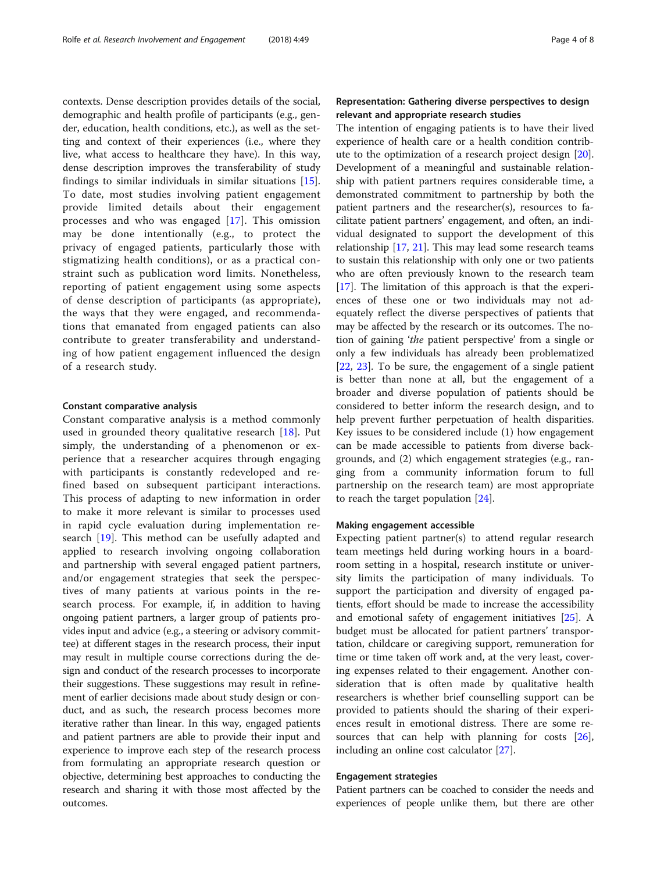contexts. Dense description provides details of the social, demographic and health profile of participants (e.g., gender, education, health conditions, etc.), as well as the setting and context of their experiences (i.e., where they live, what access to healthcare they have). In this way, dense description improves the transferability of study findings to similar individuals in similar situations [\[15](#page-6-0)]. To date, most studies involving patient engagement provide limited details about their engagement processes and who was engaged [[17](#page-6-0)]. This omission may be done intentionally (e.g., to protect the privacy of engaged patients, particularly those with stigmatizing health conditions), or as a practical constraint such as publication word limits. Nonetheless, reporting of patient engagement using some aspects of dense description of participants (as appropriate), the ways that they were engaged, and recommendations that emanated from engaged patients can also contribute to greater transferability and understanding of how patient engagement influenced the design of a research study.

#### Constant comparative analysis

Constant comparative analysis is a method commonly used in grounded theory qualitative research [[18\]](#page-6-0). Put simply, the understanding of a phenomenon or experience that a researcher acquires through engaging with participants is constantly redeveloped and refined based on subsequent participant interactions. This process of adapting to new information in order to make it more relevant is similar to processes used in rapid cycle evaluation during implementation research [[19\]](#page-6-0). This method can be usefully adapted and applied to research involving ongoing collaboration and partnership with several engaged patient partners, and/or engagement strategies that seek the perspectives of many patients at various points in the research process. For example, if, in addition to having ongoing patient partners, a larger group of patients provides input and advice (e.g., a steering or advisory committee) at different stages in the research process, their input may result in multiple course corrections during the design and conduct of the research processes to incorporate their suggestions. These suggestions may result in refinement of earlier decisions made about study design or conduct, and as such, the research process becomes more iterative rather than linear. In this way, engaged patients and patient partners are able to provide their input and experience to improve each step of the research process from formulating an appropriate research question or objective, determining best approaches to conducting the research and sharing it with those most affected by the outcomes.

## Representation: Gathering diverse perspectives to design relevant and appropriate research studies

The intention of engaging patients is to have their lived experience of health care or a health condition contribute to the optimization of a research project design [\[20](#page-6-0)]. Development of a meaningful and sustainable relationship with patient partners requires considerable time, a demonstrated commitment to partnership by both the patient partners and the researcher(s), resources to facilitate patient partners' engagement, and often, an individual designated to support the development of this relationship [\[17,](#page-6-0) [21\]](#page-6-0). This may lead some research teams to sustain this relationship with only one or two patients who are often previously known to the research team [[17\]](#page-6-0). The limitation of this approach is that the experiences of these one or two individuals may not adequately reflect the diverse perspectives of patients that may be affected by the research or its outcomes. The notion of gaining 'the patient perspective' from a single or only a few individuals has already been problematized [[22,](#page-6-0) [23](#page-6-0)]. To be sure, the engagement of a single patient is better than none at all, but the engagement of a broader and diverse population of patients should be considered to better inform the research design, and to help prevent further perpetuation of health disparities. Key issues to be considered include (1) how engagement can be made accessible to patients from diverse backgrounds, and (2) which engagement strategies (e.g., ranging from a community information forum to full partnership on the research team) are most appropriate to reach the target population [[24](#page-6-0)].

## Making engagement accessible

Expecting patient partner(s) to attend regular research team meetings held during working hours in a boardroom setting in a hospital, research institute or university limits the participation of many individuals. To support the participation and diversity of engaged patients, effort should be made to increase the accessibility and emotional safety of engagement initiatives [[25\]](#page-6-0). A budget must be allocated for patient partners' transportation, childcare or caregiving support, remuneration for time or time taken off work and, at the very least, covering expenses related to their engagement. Another consideration that is often made by qualitative health researchers is whether brief counselling support can be provided to patients should the sharing of their experiences result in emotional distress. There are some resources that can help with planning for costs [\[26](#page-6-0)], including an online cost calculator [\[27](#page-6-0)].

## Engagement strategies

Patient partners can be coached to consider the needs and experiences of people unlike them, but there are other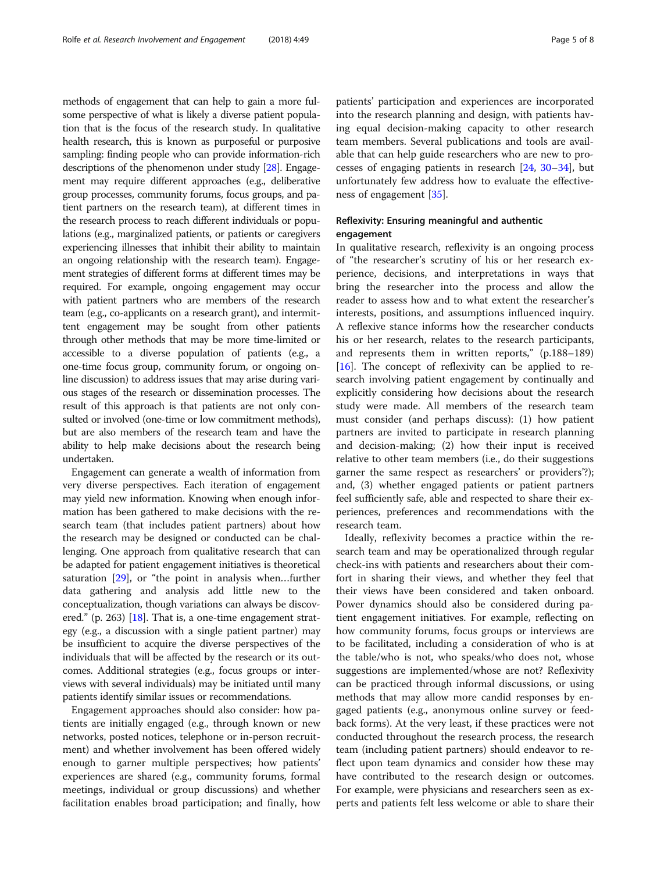methods of engagement that can help to gain a more fulsome perspective of what is likely a diverse patient population that is the focus of the research study. In qualitative health research, this is known as purposeful or purposive sampling: finding people who can provide information-rich descriptions of the phenomenon under study [\[28\]](#page-6-0). Engagement may require different approaches (e.g., deliberative group processes, community forums, focus groups, and patient partners on the research team), at different times in the research process to reach different individuals or populations (e.g., marginalized patients, or patients or caregivers experiencing illnesses that inhibit their ability to maintain an ongoing relationship with the research team). Engagement strategies of different forms at different times may be required. For example, ongoing engagement may occur with patient partners who are members of the research team (e.g., co-applicants on a research grant), and intermittent engagement may be sought from other patients through other methods that may be more time-limited or accessible to a diverse population of patients (e.g., a one-time focus group, community forum, or ongoing online discussion) to address issues that may arise during various stages of the research or dissemination processes. The result of this approach is that patients are not only consulted or involved (one-time or low commitment methods), but are also members of the research team and have the ability to help make decisions about the research being undertaken.

Engagement can generate a wealth of information from very diverse perspectives. Each iteration of engagement may yield new information. Knowing when enough information has been gathered to make decisions with the research team (that includes patient partners) about how the research may be designed or conducted can be challenging. One approach from qualitative research that can be adapted for patient engagement initiatives is theoretical saturation [[29](#page-6-0)], or "the point in analysis when…further data gathering and analysis add little new to the conceptualization, though variations can always be discovered." (p. 263) [[18](#page-6-0)]. That is, a one-time engagement strategy (e.g., a discussion with a single patient partner) may be insufficient to acquire the diverse perspectives of the individuals that will be affected by the research or its outcomes. Additional strategies (e.g., focus groups or interviews with several individuals) may be initiated until many patients identify similar issues or recommendations.

Engagement approaches should also consider: how patients are initially engaged (e.g., through known or new networks, posted notices, telephone or in-person recruitment) and whether involvement has been offered widely enough to garner multiple perspectives; how patients' experiences are shared (e.g., community forums, formal meetings, individual or group discussions) and whether facilitation enables broad participation; and finally, how patients' participation and experiences are incorporated into the research planning and design, with patients having equal decision-making capacity to other research team members. Several publications and tools are available that can help guide researchers who are new to processes of engaging patients in research [\[24](#page-6-0), [30](#page-7-0)–[34\]](#page-7-0), but unfortunately few address how to evaluate the effectiveness of engagement [\[35](#page-7-0)].

## Reflexivity: Ensuring meaningful and authentic engagement

In qualitative research, reflexivity is an ongoing process of "the researcher's scrutiny of his or her research experience, decisions, and interpretations in ways that bring the researcher into the process and allow the reader to assess how and to what extent the researcher's interests, positions, and assumptions influenced inquiry. A reflexive stance informs how the researcher conducts his or her research, relates to the research participants, and represents them in written reports," (p.188–189) [[16\]](#page-6-0). The concept of reflexivity can be applied to research involving patient engagement by continually and explicitly considering how decisions about the research study were made. All members of the research team must consider (and perhaps discuss): (1) how patient partners are invited to participate in research planning and decision-making; (2) how their input is received relative to other team members (i.e., do their suggestions garner the same respect as researchers' or providers'?); and, (3) whether engaged patients or patient partners feel sufficiently safe, able and respected to share their experiences, preferences and recommendations with the research team.

Ideally, reflexivity becomes a practice within the research team and may be operationalized through regular check-ins with patients and researchers about their comfort in sharing their views, and whether they feel that their views have been considered and taken onboard. Power dynamics should also be considered during patient engagement initiatives. For example, reflecting on how community forums, focus groups or interviews are to be facilitated, including a consideration of who is at the table/who is not, who speaks/who does not, whose suggestions are implemented/whose are not? Reflexivity can be practiced through informal discussions, or using methods that may allow more candid responses by engaged patients (e.g., anonymous online survey or feedback forms). At the very least, if these practices were not conducted throughout the research process, the research team (including patient partners) should endeavor to reflect upon team dynamics and consider how these may have contributed to the research design or outcomes. For example, were physicians and researchers seen as experts and patients felt less welcome or able to share their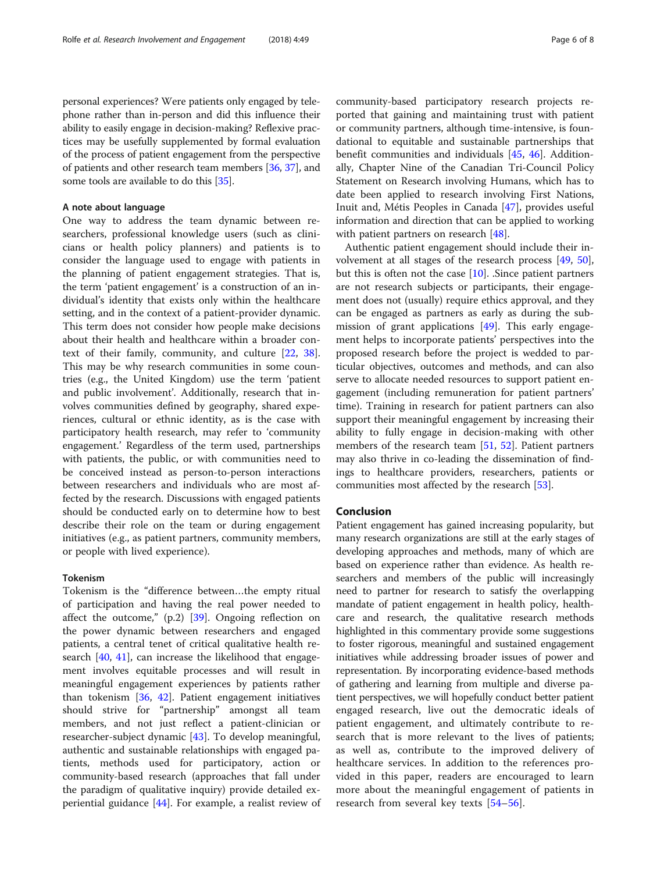personal experiences? Were patients only engaged by telephone rather than in-person and did this influence their ability to easily engage in decision-making? Reflexive practices may be usefully supplemented by formal evaluation of the process of patient engagement from the perspective of patients and other research team members [[36,](#page-7-0) [37\]](#page-7-0), and some tools are available to do this [[35](#page-7-0)].

## A note about language

One way to address the team dynamic between researchers, professional knowledge users (such as clinicians or health policy planners) and patients is to consider the language used to engage with patients in the planning of patient engagement strategies. That is, the term 'patient engagement' is a construction of an individual's identity that exists only within the healthcare setting, and in the context of a patient-provider dynamic. This term does not consider how people make decisions about their health and healthcare within a broader context of their family, community, and culture [\[22](#page-6-0), [38](#page-7-0)]. This may be why research communities in some countries (e.g., the United Kingdom) use the term 'patient and public involvement'. Additionally, research that involves communities defined by geography, shared experiences, cultural or ethnic identity, as is the case with participatory health research, may refer to 'community engagement.' Regardless of the term used, partnerships with patients, the public, or with communities need to be conceived instead as person-to-person interactions between researchers and individuals who are most affected by the research. Discussions with engaged patients should be conducted early on to determine how to best describe their role on the team or during engagement initiatives (e.g., as patient partners, community members, or people with lived experience).

#### Tokenism

Tokenism is the "difference between…the empty ritual of participation and having the real power needed to affect the outcome," (p.2) [\[39](#page-7-0)]. Ongoing reflection on the power dynamic between researchers and engaged patients, a central tenet of critical qualitative health research [[40](#page-7-0), [41](#page-7-0)], can increase the likelihood that engagement involves equitable processes and will result in meaningful engagement experiences by patients rather than tokenism [[36,](#page-7-0) [42\]](#page-7-0). Patient engagement initiatives should strive for "partnership" amongst all team members, and not just reflect a patient-clinician or researcher-subject dynamic [[43\]](#page-7-0). To develop meaningful, authentic and sustainable relationships with engaged patients, methods used for participatory, action or community-based research (approaches that fall under the paradigm of qualitative inquiry) provide detailed experiential guidance [[44](#page-7-0)]. For example, a realist review of

community-based participatory research projects reported that gaining and maintaining trust with patient or community partners, although time-intensive, is foundational to equitable and sustainable partnerships that benefit communities and individuals [[45,](#page-7-0) [46\]](#page-7-0). Additionally, Chapter Nine of the Canadian Tri-Council Policy Statement on Research involving Humans, which has to date been applied to research involving First Nations, Inuit and, Métis Peoples in Canada [[47\]](#page-7-0), provides useful information and direction that can be applied to working with patient partners on research [\[48\]](#page-7-0).

Authentic patient engagement should include their involvement at all stages of the research process [[49](#page-7-0), [50](#page-7-0)], but this is often not the case [\[10](#page-6-0)]. .Since patient partners are not research subjects or participants, their engagement does not (usually) require ethics approval, and they can be engaged as partners as early as during the submission of grant applications [\[49](#page-7-0)]. This early engagement helps to incorporate patients' perspectives into the proposed research before the project is wedded to particular objectives, outcomes and methods, and can also serve to allocate needed resources to support patient engagement (including remuneration for patient partners' time). Training in research for patient partners can also support their meaningful engagement by increasing their ability to fully engage in decision-making with other members of the research team [\[51](#page-7-0), [52\]](#page-7-0). Patient partners may also thrive in co-leading the dissemination of findings to healthcare providers, researchers, patients or communities most affected by the research [[53\]](#page-7-0).

## Conclusion

Patient engagement has gained increasing popularity, but many research organizations are still at the early stages of developing approaches and methods, many of which are based on experience rather than evidence. As health researchers and members of the public will increasingly need to partner for research to satisfy the overlapping mandate of patient engagement in health policy, healthcare and research, the qualitative research methods highlighted in this commentary provide some suggestions to foster rigorous, meaningful and sustained engagement initiatives while addressing broader issues of power and representation. By incorporating evidence-based methods of gathering and learning from multiple and diverse patient perspectives, we will hopefully conduct better patient engaged research, live out the democratic ideals of patient engagement, and ultimately contribute to research that is more relevant to the lives of patients; as well as, contribute to the improved delivery of healthcare services. In addition to the references provided in this paper, readers are encouraged to learn more about the meaningful engagement of patients in research from several key texts [[54](#page-7-0)–[56\]](#page-7-0).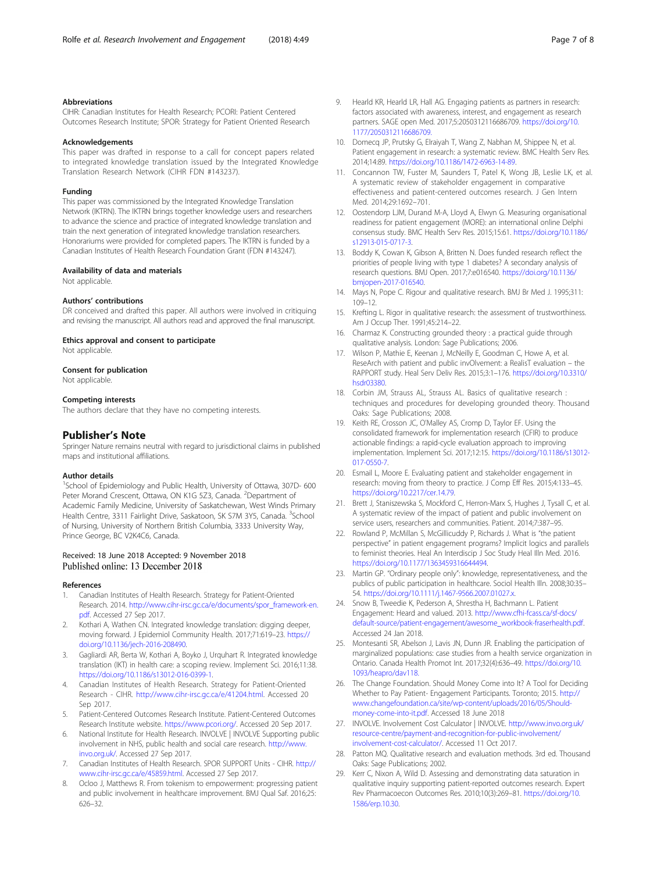#### <span id="page-6-0"></span>Abbreviations

CIHR: Canadian Institutes for Health Research; PCORI: Patient Centered Outcomes Research Institute; SPOR: Strategy for Patient Oriented Research

#### Acknowledgements

This paper was drafted in response to a call for concept papers related to integrated knowledge translation issued by the Integrated Knowledge Translation Research Network (CIHR FDN #143237).

#### Funding

This paper was commissioned by the Integrated Knowledge Translation Network (IKTRN). The IKTRN brings together knowledge users and researchers to advance the science and practice of integrated knowledge translation and train the next generation of integrated knowledge translation researchers. Honorariums were provided for completed papers. The IKTRN is funded by a Canadian Institutes of Health Research Foundation Grant (FDN #143247).

## Availability of data and materials

Not applicable.

## Authors' contributions

DR conceived and drafted this paper. All authors were involved in critiquing and revising the manuscript. All authors read and approved the final manuscript.

#### Ethics approval and consent to participate

Not applicable.

## Consent for publication

Not applicable.

#### Competing interests

The authors declare that they have no competing interests.

#### Publisher's Note

Springer Nature remains neutral with regard to jurisdictional claims in published maps and institutional affiliations.

#### Author details

<sup>1</sup>School of Epidemiology and Public Health, University of Ottawa, 307D- 600 Peter Morand Crescent, Ottawa, ON K1G 5Z3, Canada. <sup>2</sup>Department of Academic Family Medicine, University of Saskatchewan, West Winds Primary Health Centre, 3311 Fairlight Drive, Saskatoon, SK S7M 3Y5, Canada. <sup>3</sup>School of Nursing, University of Northern British Columbia, 3333 University Way, Prince George, BC V2K4C6, Canada.

## Received: 18 June 2018 Accepted: 9 November 2018 Published online: 13 December 2018

#### References

- 1. Canadian Institutes of Health Research. Strategy for Patient-Oriented Research. 2014. [http://www.cihr-irsc.gc.ca/e/documents/spor\\_framework-en.](http://www.cihr-irsc.gc.ca/e/documents/spor_framework-en.pdf) [pdf](http://www.cihr-irsc.gc.ca/e/documents/spor_framework-en.pdf). Accessed 27 Sep 2017.
- 2. Kothari A, Wathen CN. Integrated knowledge translation: digging deeper, moving forward. J Epidemiol Community Health. 2017;71:619–23. [https://](https://doi.org/10.1136/jech-2016-208490) [doi.org/10.1136/jech-2016-208490](https://doi.org/10.1136/jech-2016-208490).
- 3. Gagliardi AR, Berta W, Kothari A, Boyko J, Urquhart R. Integrated knowledge translation (IKT) in health care: a scoping review. Implement Sci. 2016;11:38. <https://doi.org/10.1186/s13012-016-0399-1>.
- 4. Canadian Institutes of Health Research. Strategy for Patient-Oriented Research - CIHR. [http://www.cihr-irsc.gc.ca/e/41204.html.](http://www.cihr-irsc.gc.ca/e/41204.html) Accessed 20 Sep 2017.
- Patient-Centered Outcomes Research Institute. Patient-Centered Outcomes Research Institute website. <https://www.pcori.org/>. Accessed 20 Sep 2017.
- 6. National Institute for Health Research. INVOLVE | INVOLVE Supporting public involvement in NHS, public health and social care research. [http://www.](http://www.invo.org.uk/) [invo.org.uk/](http://www.invo.org.uk/). Accessed 27 Sep 2017.
- 7. Canadian Institutes of Health Research. SPOR SUPPORT Units CIHR. [http://](http://www.cihr-irsc.gc.ca/e/45859.html) [www.cihr-irsc.gc.ca/e/45859.html](http://www.cihr-irsc.gc.ca/e/45859.html). Accessed 27 Sep 2017.
- Ocloo J, Matthews R. From tokenism to empowerment: progressing patient and public involvement in healthcare improvement. BMJ Qual Saf. 2016;25: 626–32.
- 9. Hearld KR, Hearld LR, Hall AG. Engaging patients as partners in research: factors associated with awareness, interest, and engagement as research partners. SAGE open Med. 2017;5:2050312116686709. [https://doi.org/10.](https://doi.org/10.1177/2050312116686709.) [1177/2050312116686709.](https://doi.org/10.1177/2050312116686709.)
- 10. Domecq JP, Prutsky G, Elraiyah T, Wang Z, Nabhan M, Shippee N, et al. Patient engagement in research: a systematic review. BMC Health Serv Res. 2014;14:89. <https://doi.org/10.1186/1472-6963-14-89>.
- 11. Concannon TW, Fuster M, Saunders T, Patel K, Wong JB, Leslie LK, et al. A systematic review of stakeholder engagement in comparative effectiveness and patient-centered outcomes research. J Gen Intern Med. 2014;29:1692–701.
- 12. Oostendorp LJM, Durand M-A, Lloyd A, Elwyn G. Measuring organisational readiness for patient engagement (MORE): an international online Delphi consensus study. BMC Health Serv Res. 2015;15:61. [https://doi.org/10.1186/](https://doi.org/10.1186/s12913-015-0717-3) [s12913-015-0717-3.](https://doi.org/10.1186/s12913-015-0717-3)
- 13. Boddy K, Cowan K, Gibson A, Britten N. Does funded research reflect the priorities of people living with type 1 diabetes? A secondary analysis of research questions. BMJ Open. 2017;7:e016540. [https://doi.org/10.1136/](https://doi.org/10.1136/bmjopen-2017-016540) [bmjopen-2017-016540.](https://doi.org/10.1136/bmjopen-2017-016540)
- 14. Mays N, Pope C. Rigour and qualitative research. BMJ Br Med J. 1995;311: 109–12.
- 15. Krefting L. Rigor in qualitative research: the assessment of trustworthiness. Am J Occup Ther. 1991;45:214–22.
- 16. Charmaz K. Constructing grounded theory : a practical guide through qualitative analysis. London: Sage Publications; 2006.
- 17. Wilson P, Mathie E, Keenan J, McNeilly E, Goodman C, Howe A, et al. ReseArch with patient and public invOlvement: a RealisT evaluation – the RAPPORT study. Heal Serv Deliv Res. 2015;3:1–176. [https://doi.org/10.3310/](https://doi.org/10.3310/hsdr03380) [hsdr03380](https://doi.org/10.3310/hsdr03380).
- 18. Corbin JM, Strauss AL, Strauss AL. Basics of qualitative research : techniques and procedures for developing grounded theory. Thousand Oaks: Sage Publications; 2008.
- 19. Keith RE, Crosson JC, O'Malley AS, Cromp D, Taylor EF. Using the consolidated framework for implementation research (CFIR) to produce actionable findings: a rapid-cycle evaluation approach to improving implementation. Implement Sci. 2017;12:15. [https://doi.org/10.1186/s13012-](https://doi.org/10.1186/s13012-017-0550-7) [017-0550-7](https://doi.org/10.1186/s13012-017-0550-7).
- 20. Esmail L, Moore E. Evaluating patient and stakeholder engagement in research: moving from theory to practice. J Comp Eff Res. 2015;4:133–45. [https://doi.org/10.2217/cer.14.79.](https://doi.org/10.2217/cer.14.79)
- 21. Brett J, Staniszewska S, Mockford C, Herron-Marx S, Hughes J, Tysall C, et al. A systematic review of the impact of patient and public involvement on service users, researchers and communities. Patient. 2014;7:387–95.
- 22. Rowland P, McMillan S, McGillicuddy P, Richards J. What is "the patient perspective" in patient engagement programs? Implicit logics and parallels to feminist theories. Heal An Interdiscip J Soc Study Heal Illn Med. 2016. [https://doi.org/10.1177/1363459316644494.](https://doi.org/10.1177/1363459316644494)
- 23. Martin GP. "Ordinary people only": knowledge, representativeness, and the publics of public participation in healthcare. Sociol Health Illn. 2008;30:35– 54. <https://doi.org/10.1111/j.1467-9566.2007.01027.x>.
- 24. Snow B, Tweedie K, Pederson A, Shrestha H, Bachmann L. Patient Engagement: Heard and valued. 2013. [http://www.cfhi-fcass.ca/sf-docs/](http://www.cfhi-fcass.ca/sf-docs/default-source/patient-engagement/awesome_workbook-fraserhealth.pdf) [default-source/patient-engagement/awesome\\_workbook-fraserhealth.pdf.](http://www.cfhi-fcass.ca/sf-docs/default-source/patient-engagement/awesome_workbook-fraserhealth.pdf) Accessed 24 Jan 2018.
- 25. Montesanti SR, Abelson J, Lavis JN, Dunn JR. Enabling the participation of marginalized populations: case studies from a health service organization in Ontario. Canada Health Promot Int. 2017;32(4):636–49. [https://doi.org/10.](https://doi.org/10.1093/heapro/dav118.) [1093/heapro/dav118.](https://doi.org/10.1093/heapro/dav118.)
- 26. The Change Foundation. Should Money Come into It? A Tool for Deciding Whether to Pay Patient- Engagement Participants. Toronto; 2015. [http://](http://www.changefoundation.ca/site/wp-content/uploads/2016/05/Should-money-come-into-it.pdf) [www.changefoundation.ca/site/wp-content/uploads/2016/05/Should](http://www.changefoundation.ca/site/wp-content/uploads/2016/05/Should-money-come-into-it.pdf)[money-come-into-it.pdf.](http://www.changefoundation.ca/site/wp-content/uploads/2016/05/Should-money-come-into-it.pdf) Accessed 18 June 2018
- 27. INVOLVE. Involvement Cost Calculator | INVOLVE. [http://www.invo.org.uk/](http://www.invo.org.uk/resource-centre/payment-and-recognition-for-public-involvement/involvement-cost-calculator/) [resource-centre/payment-and-recognition-for-public-involvement/](http://www.invo.org.uk/resource-centre/payment-and-recognition-for-public-involvement/involvement-cost-calculator/) [involvement-cost-calculator/.](http://www.invo.org.uk/resource-centre/payment-and-recognition-for-public-involvement/involvement-cost-calculator/) Accessed 11 Oct 2017.
- 28. Patton MQ. Qualitative research and evaluation methods. 3rd ed. Thousand Oaks: Sage Publications; 2002.
- 29. Kerr C, Nixon A, Wild D. Assessing and demonstrating data saturation in qualitative inquiry supporting patient-reported outcomes research. Expert Rev Pharmacoecon Outcomes Res. 2010;10(3):269–81. [https://doi.org/10.](https://doi.org/10.1586/erp.10.30) [1586/erp.10.30](https://doi.org/10.1586/erp.10.30).